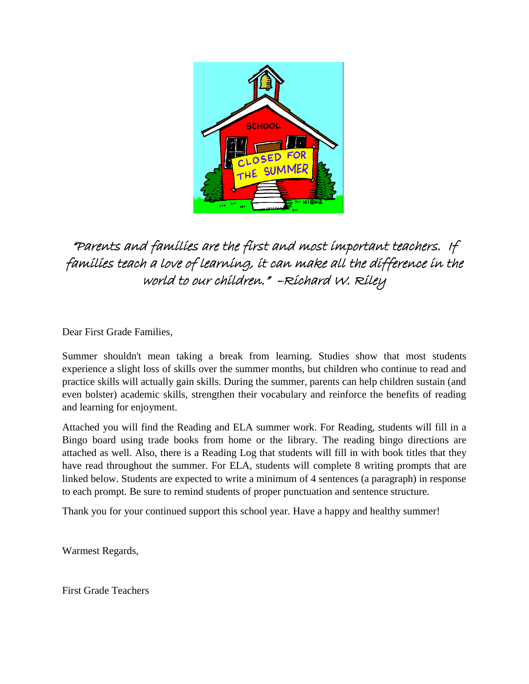

#### "Parents and families are the first and most important teachers. If families teach a love of learning, it can make all the difference in the world to our children." –Richard W. Riley

Dear First Grade Families,

Summer shouldn't mean taking a break from learning. Studies show that most students experience a slight loss of skills over the summer months, but children who continue to read and practice skills will actually gain skills. During the summer, parents can help children sustain (and even bolster) academic skills, strengthen their vocabulary and reinforce the benefits of reading and learning for enjoyment.

Attached you will find the Reading and ELA summer work. For Reading, students will fill in a Bingo board using trade books from home or the library. The reading bingo directions are attached as well. Also, there is a Reading Log that students will fill in with book titles that they have read throughout the summer. For ELA, students will complete 8 writing prompts that are linked below. Students are expected to write a minimum of 4 sentences (a paragraph) in response to each prompt. Be sure to remind students of proper punctuation and sentence structure.

Thank you for your continued support this school year. Have a happy and healthy summer!

Warmest Regards,

First Grade Teachers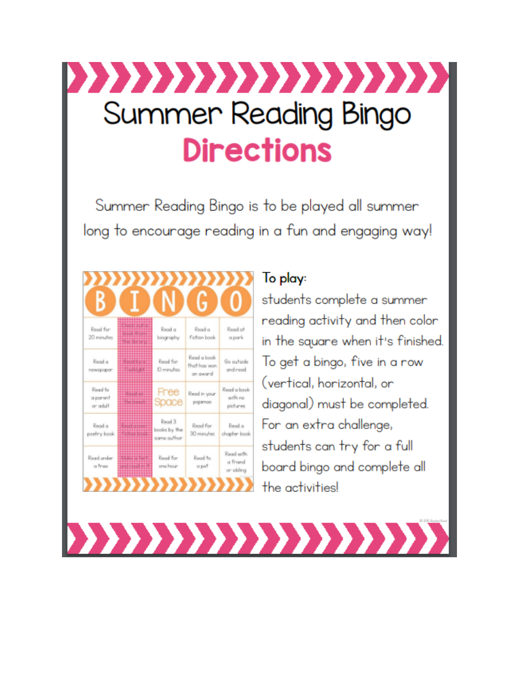# ,,,,,,,,,,,,,,,,,,, Summer Reading Bingo **Directions**

Summer Reading Bingo is to be played all summer long to encourage reading in a fun and engaging way!

|                                  |                                 | nmmm                                  | G                                       |                                     |
|----------------------------------|---------------------------------|---------------------------------------|-----------------------------------------|-------------------------------------|
| Read for<br>20 minutes           | <b>HENRI</b><br><u>Hittitid</u> | Read a<br>biography                   | Read a<br><b>fiction</b> book           | Read at<br>apark                    |
| Rood a<br>newspaper              | <b>Context</b><br>出出出出          | Read for<br>ID minutes                | Read a book<br>that has won<br>on award | Go outside<br>and read              |
| Read for<br>a parent<br>or adult |                                 | Free<br>Space                         | Read in your<br>pojamas                 | Read a book<br>with no<br>pictures  |
| Read a<br>poetry book            |                                 | Read 3<br>books by the<br>same outhor | Read for<br>30 minutes                  | Read a<br>chapter book              |
| Read under<br>a tree             | ᅓ                               | Read for<br>one hour                  | Record to<br>a pat                      | Read with<br>a friend<br>or sibling |
|                                  |                                 |                                       |                                         |                                     |

### To play:

,,,,,,,,,,,,,,,,

students complete a summer reading activity and then color in the square when it's finished. To get a bingo, five in a row (vertical, horizontal, or diagonal) must be completed. For an extra challenge, students can try for a full board bingo and complete all the activities!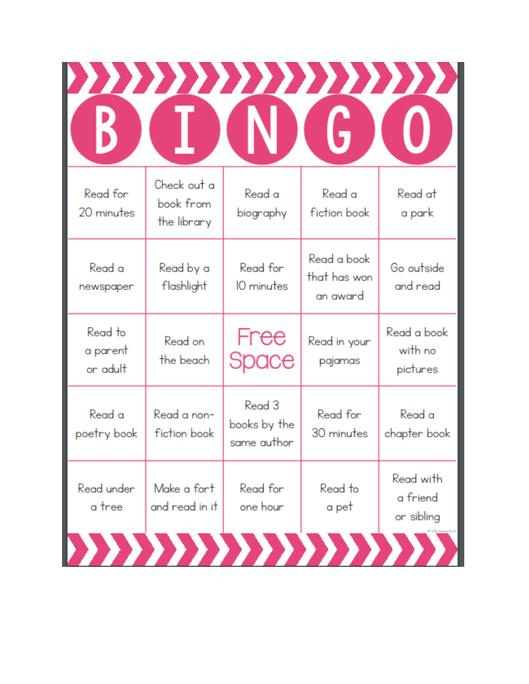|                                         |                                       | G                                       |                                            |
|-----------------------------------------|---------------------------------------|-----------------------------------------|--------------------------------------------|
| Check out a<br>book from<br>the library | Read a<br>biography                   | Read a<br>fiction book                  | Read at<br>a park                          |
| Read by a<br>flashlight                 | Read for<br>10 minutes                | Read a book<br>that has won<br>an award | Go outside<br>and read                     |
| Read on<br>the beach                    | Free<br>Space                         | Read in your<br>pajamas                 | Read a book<br>with no<br>pictures         |
| Read a non-<br>fiction book             | Read 3<br>books by the<br>same author | Read for<br>30 minutes                  | Read a<br>chapter book                     |
| Make a fort<br>and read in it           | Read for<br>one hour                  | Read to<br>a pet                        | Read with<br>a friend<br>or sibling        |
|                                         |                                       |                                         | ,,,,,,,,,,,,,,,,,,,<br>,,,,,,,,,,,,,,,,,,, |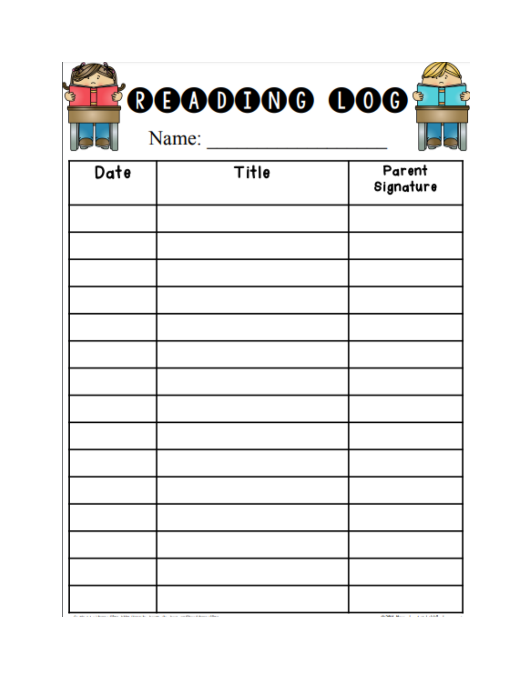|      | <b>FOGOOOOG OOG T</b><br>Name: | €                   |
|------|--------------------------------|---------------------|
| Date | Title                          | Parent<br>Signature |
|      |                                |                     |
|      |                                |                     |
|      |                                |                     |
|      |                                |                     |
|      |                                |                     |
|      |                                |                     |
|      |                                |                     |
|      |                                |                     |
|      |                                |                     |
|      |                                |                     |
|      |                                |                     |
|      |                                |                     |
|      |                                |                     |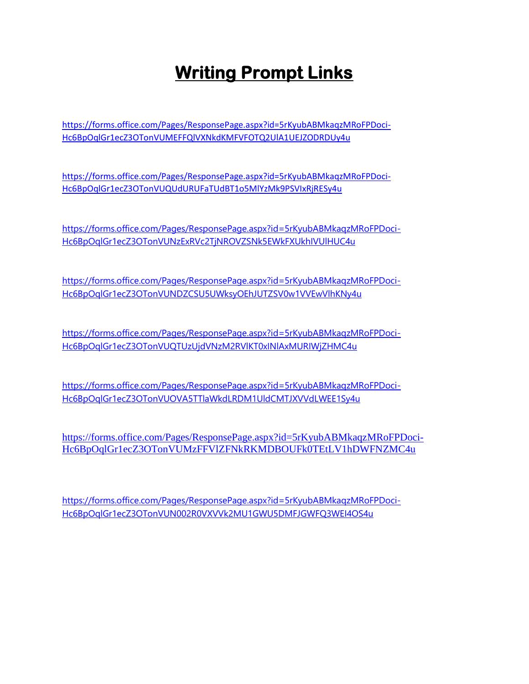## **Writing Prompt Links**

[https://forms.office.com/Pages/ResponsePage.aspx?id=5rKyubABMkaqzMRoFPDoci-](https://forms.office.com/Pages/ResponsePage.aspx?id=5rKyubABMkaqzMRoFPDoci-Hc6BpOqlGr1ecZ3OTonVUMEFFQlVXNkdKMFVFOTQ2UlA1UEJZODRDUy4u)[Hc6BpOqlGr1ecZ3OTonVUMEFFQlVXNkdKMFVFOTQ2UlA1UEJZODRDUy4u](https://forms.office.com/Pages/ResponsePage.aspx?id=5rKyubABMkaqzMRoFPDoci-Hc6BpOqlGr1ecZ3OTonVUMEFFQlVXNkdKMFVFOTQ2UlA1UEJZODRDUy4u)

[https://forms.office.com/Pages/ResponsePage.aspx?id=5rKyubABMkaqzMRoFPDoci-](https://forms.office.com/Pages/ResponsePage.aspx?id=5rKyubABMkaqzMRoFPDoci-Hc6BpOqlGr1ecZ3OTonVUQUdURUFaTUdBT1o5MlYzMk9PSVIxRjRESy4u)[Hc6BpOqlGr1ecZ3OTonVUQUdURUFaTUdBT1o5MlYzMk9PSVIxRjRESy4u](https://forms.office.com/Pages/ResponsePage.aspx?id=5rKyubABMkaqzMRoFPDoci-Hc6BpOqlGr1ecZ3OTonVUQUdURUFaTUdBT1o5MlYzMk9PSVIxRjRESy4u)

[https://forms.office.com/Pages/ResponsePage.aspx?id=5rKyubABMkaqzMRoFPDoci-](https://forms.office.com/Pages/ResponsePage.aspx?id=5rKyubABMkaqzMRoFPDoci-Hc6BpOqlGr1ecZ3OTonVUNzExRVc2TjNROVZSNk5EWkFXUkhIVUlHUC4u)[Hc6BpOqlGr1ecZ3OTonVUNzExRVc2TjNROVZSNk5EWkFXUkhIVUlHUC4u](https://forms.office.com/Pages/ResponsePage.aspx?id=5rKyubABMkaqzMRoFPDoci-Hc6BpOqlGr1ecZ3OTonVUNzExRVc2TjNROVZSNk5EWkFXUkhIVUlHUC4u)

[https://forms.office.com/Pages/ResponsePage.aspx?id=5rKyubABMkaqzMRoFPDoci-](https://forms.office.com/Pages/ResponsePage.aspx?id=5rKyubABMkaqzMRoFPDoci-Hc6BpOqlGr1ecZ3OTonVUNDZCSU5UWksyOEhJUTZSV0w1VVEwVlhKNy4u)[Hc6BpOqlGr1ecZ3OTonVUNDZCSU5UWksyOEhJUTZSV0w1VVEwVlhKNy4u](https://forms.office.com/Pages/ResponsePage.aspx?id=5rKyubABMkaqzMRoFPDoci-Hc6BpOqlGr1ecZ3OTonVUNDZCSU5UWksyOEhJUTZSV0w1VVEwVlhKNy4u)

[https://forms.office.com/Pages/ResponsePage.aspx?id=5rKyubABMkaqzMRoFPDoci-](https://forms.office.com/Pages/ResponsePage.aspx?id=5rKyubABMkaqzMRoFPDoci-Hc6BpOqlGr1ecZ3OTonVUQTUzUjdVNzM2RVlKT0xINlAxMURIWjZHMC4u)[Hc6BpOqlGr1ecZ3OTonVUQTUzUjdVNzM2RVlKT0xINlAxMURIWjZHMC4u](https://forms.office.com/Pages/ResponsePage.aspx?id=5rKyubABMkaqzMRoFPDoci-Hc6BpOqlGr1ecZ3OTonVUQTUzUjdVNzM2RVlKT0xINlAxMURIWjZHMC4u)

[https://forms.office.com/Pages/ResponsePage.aspx?id=5rKyubABMkaqzMRoFPDoci-](https://forms.office.com/Pages/ResponsePage.aspx?id=5rKyubABMkaqzMRoFPDoci-Hc6BpOqlGr1ecZ3OTonVUOVA5TTlaWkdLRDM1UldCMTJXVVdLWEE1Sy4u)[Hc6BpOqlGr1ecZ3OTonVUOVA5TTlaWkdLRDM1UldCMTJXVVdLWEE1Sy4u](https://forms.office.com/Pages/ResponsePage.aspx?id=5rKyubABMkaqzMRoFPDoci-Hc6BpOqlGr1ecZ3OTonVUOVA5TTlaWkdLRDM1UldCMTJXVVdLWEE1Sy4u)

[https://forms.office.com/Pages/ResponsePage.aspx?id=5rKyubABMkaqzMRoFPDoci-](https://forms.office.com/Pages/ResponsePage.aspx?id=5rKyubABMkaqzMRoFPDoci-Hc6BpOqlGr1ecZ3OTonVUMzFFVlZFNkRKMDBOUFk0TEtLV1hDWFNZMC4u)[Hc6BpOqlGr1ecZ3OTonVUMzFFVlZFNkRKMDBOUFk0TEtLV1hDWFNZMC4u](https://forms.office.com/Pages/ResponsePage.aspx?id=5rKyubABMkaqzMRoFPDoci-Hc6BpOqlGr1ecZ3OTonVUMzFFVlZFNkRKMDBOUFk0TEtLV1hDWFNZMC4u)

[https://forms.office.com/Pages/ResponsePage.aspx?id=5rKyubABMkaqzMRoFPDoci-](https://forms.office.com/Pages/ResponsePage.aspx?id=5rKyubABMkaqzMRoFPDoci-Hc6BpOqlGr1ecZ3OTonVUN002R0VXVVk2MU1GWU5DMFJGWFQ3WEI4OS4u)[Hc6BpOqlGr1ecZ3OTonVUN002R0VXVVk2MU1GWU5DMFJGWFQ3WEI4OS4u](https://forms.office.com/Pages/ResponsePage.aspx?id=5rKyubABMkaqzMRoFPDoci-Hc6BpOqlGr1ecZ3OTonVUN002R0VXVVk2MU1GWU5DMFJGWFQ3WEI4OS4u)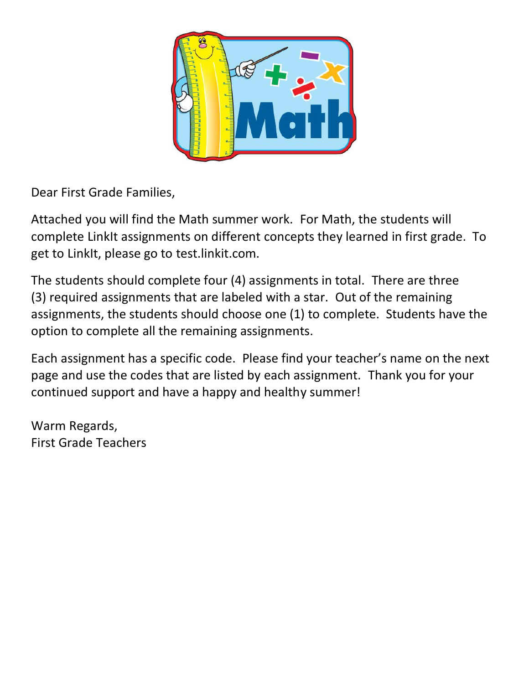

Dear First Grade Families,

Attached you will find the Math summer work. For Math, the students will complete LinkIt assignments on different concepts they learned in first grade. To get to LinkIt, please go to test.linkit.com.

The students should complete four (4) assignments in total. There are three (3) required assignments that are labeled with a star. Out of the remaining assignments, the students should choose one (1) to complete. Students have the option to complete all the remaining assignments.

Each assignment has a specific code. Please find your teacher's name on the next page and use the codes that are listed by each assignment. Thank you for your continued support and have a happy and healthy summer!

Warm Regards, First Grade Teachers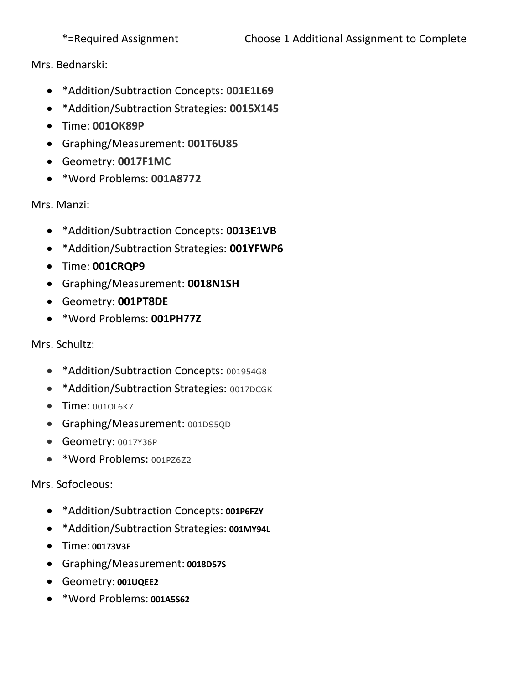Mrs. Bednarski:

- \*Addition/Subtraction Concepts: **001E1L69**
- \*Addition/Subtraction Strategies: **0015X145**
- Time: **001OK89P**
- Graphing/Measurement: **001T6U85**
- Geometry: **0017F1MC**
- \*Word Problems: **001A8772**

Mrs. Manzi:

- \*Addition/Subtraction Concepts: **0013E1VB**
- \*Addition/Subtraction Strategies: **001YFWP6**
- Time: **001CRQP9**
- Graphing/Measurement: **0018N1SH**
- Geometry: **001PT8DE**
- \*Word Problems: **001PH77Z**

Mrs. Schultz:

- \*Addition/Subtraction Concepts: 001954G8
- \* Addition/Subtraction Strategies: 0017DCGK
- Time: 0010L6K7
- Graphing/Measurement: 001DS5QD
- Geometry: 0017Y36P
- \*Word Problems: 001PZ6Z2

Mrs. Sofocleous:

- \*Addition/Subtraction Concepts: **001P6FZY**
- \*Addition/Subtraction Strategies: **001MY94L**
- Time: **00173V3F**
- Graphing/Measurement: **0018D57S**
- Geometry: **001UQEE2**
- \*Word Problems: **001A5S62**